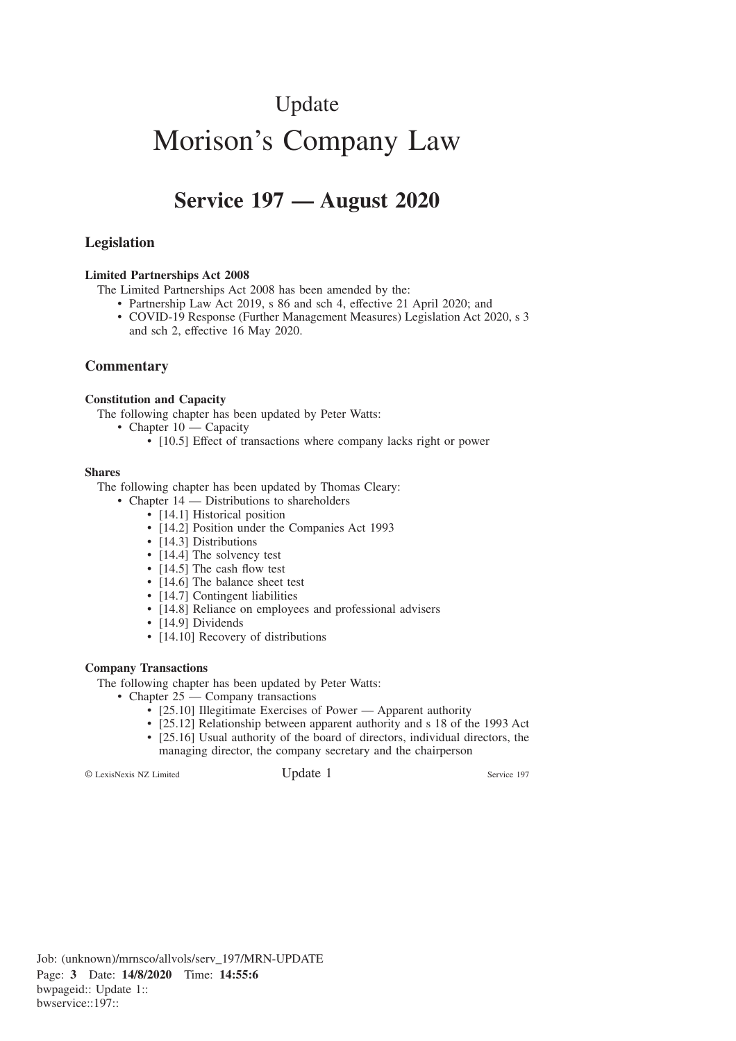# Update Morison's Company Law

# **Service 197 — August 2020**

# **Legislation**

#### **Limited Partnerships Act 2008**

The Limited Partnerships Act 2008 has been amended by the:

- Partnership Law Act 2019, s 86 and sch 4, effective 21 April 2020; and
- COVID-19 Response (Further Management Measures) Legislation Act 2020, s 3 and sch 2, effective 16 May 2020.

# **Commentary**

### **Constitution and Capacity**

The following chapter has been updated by Peter Watts:

- Chapter 10 Capacity
	- [10.5] Effect of transactions where company lacks right or power

#### **Shares**

The following chapter has been updated by Thomas Cleary:

- Chapter 14 Distributions to shareholders
	- [14.1] Historical position
	- [14.2] Position under the Companies Act 1993
	- [14.3] Distributions
	- [14.4] The solvency test
	- [14.5] The cash flow test
	- [14.6] The balance sheet test
	- [14.7] Contingent liabilities
	- [14.8] Reliance on employees and professional advisers
	- [14.9] Dividends
	- [14.10] Recovery of distributions

#### **Company Transactions**

The following chapter has been updated by Peter Watts:

- Chapter 25 Company transactions
	- [25.10] Illegitimate Exercises of Power Apparent authority
	- [25.12] Relationship between apparent authority and s 18 of the 1993 Act
	- [25.16] Usual authority of the board of directors, individual directors, the managing director, the company secretary and the chairperson